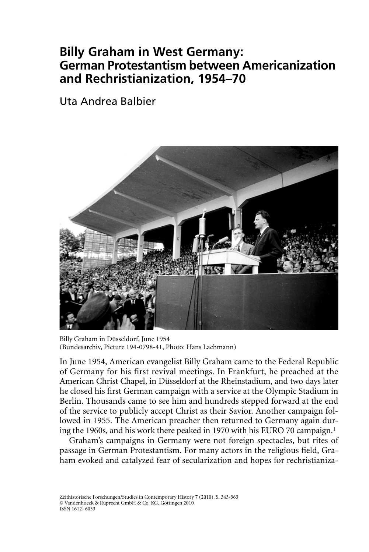# **Billy Graham in West Germany: German Protestantism between Americanization and Rechristianization, 1954–70**

### Uta Andrea Balbier



Billy Graham in Düsseldorf, June 1954 (Bundesarchiv, Picture 194-0798-41, Photo: Hans Lachmann)

In June 1954, American evangelist Billy Graham came to the Federal Republic of Germany for his first revival meetings. In Frankfurt, he preached at the American Christ Chapel, in Düsseldorf at the Rheinstadium, and two days later he closed his first German campaign with a service at the Olympic Stadium in Berlin. Thousands came to see him and hundreds stepped forward at the end of the service to publicly accept Christ as their Savior. Another campaign followed in 1955. The American preacher then returned to Germany again during the 1960s, and his work there peaked in 1970 with his EURO 70 campaign.<sup>1</sup>

Graham's campaigns in Germany were not foreign spectacles, but rites of passage in German Protestantism. For many actors in the religious field, Graham evoked and catalyzed fear of secularization and hopes for rechristianiza-

Zeithistorische Forschungen/Studies in Contemporary History 7 (2010), S. 343-363 © Vandenhoeck & Ruprecht GmbH & Co. KG, Göttingen 2010 ISSN 1612–6033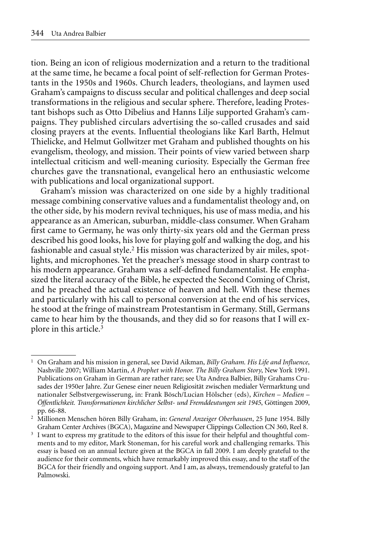tion. Being an icon of religious modernization and a return to the traditional at the same time, he became a focal point of self-reflection for German Protestants in the 1950s and 1960s. Church leaders, theologians, and laymen used Graham's campaigns to discuss secular and political challenges and deep social transformations in the religious and secular sphere. Therefore, leading Protestant bishops such as Otto Dibelius and Hanns Lilje supported Graham's campaigns. They published circulars advertising the so-called crusades and said closing prayers at the events. Influential theologians like Karl Barth, Helmut Thielicke, and Helmut Gollwitzer met Graham and published thoughts on his evangelism, theology, and mission. Their points of view varied between sharp intellectual criticism and well-meaning curiosity. Especially the German free churches gave the transnational, evangelical hero an enthusiastic welcome with publications and local organizational support.

Graham's mission was characterized on one side by a highly traditional message combining conservative values and a fundamentalist theology and, on the other side, by his modern revival techniques, his use of mass media, and his appearance as an American, suburban, middle-class consumer. When Graham first came to Germany, he was only thirty-six years old and the German press described his good looks, his love for playing golf and walking the dog, and his fashionable and casual style.<sup>2</sup> His mission was characterized by air miles, spotlights, and microphones. Yet the preacher's message stood in sharp contrast to his modern appearance. Graham was a self-defined fundamentalist. He emphasized the literal accuracy of the Bible, he expected the Second Coming of Christ, and he preached the actual existence of heaven and hell. With these themes and particularly with his call to personal conversion at the end of his services, he stood at the fringe of mainstream Protestantism in Germany. Still, Germans came to hear him by the thousands, and they did so for reasons that I will explore in this article.<sup>3</sup>

<sup>1</sup> On Graham and his mission in general, see David Aikman, *Billy Graham. His Life and Influence*, Nashville 2007; William Martin, *A Prophet with Honor. The Billy Graham Story*, New York 1991. Publications on Graham in German are rather rare; see Uta Andrea Balbier, Billy Grahams Crusades der 1950er Jahre. Zur Genese einer neuen Religiosität zwischen medialer Vermarktung und nationaler Selbstvergewisserung, in: Frank Bösch/Lucian Hölscher (eds), *Kirchen – Medien – Öffentlichkeit. Transformationen kirchlicher Selbst- und Fremddeutungen seit 1945*, Göttingen 2009, pp. 66-88.

<sup>2</sup> Millionen Menschen hören Billy Graham, in: *General Anzeiger Oberhausen*, 25 June 1954. Billy Graham Center Archives (BGCA), Magazine and Newspaper Clippings Collection CN 360, Reel 8.

<sup>&</sup>lt;sup>3</sup> I want to express my gratitude to the editors of this issue for their helpful and thoughtful comments and to my editor, Mark Stoneman, for his careful work and challenging remarks. This essay is based on an annual lecture given at the BGCA in fall 2009. I am deeply grateful to the audience for their comments, which have remarkably improved this essay, and to the staff of the BGCA for their friendly and ongoing support. And I am, as always, tremendously grateful to Jan Palmowski.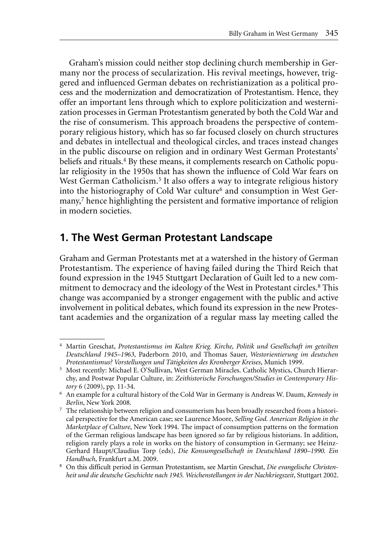Graham's mission could neither stop declining church membership in Germany nor the process of secularization. His revival meetings, however, triggered and influenced German debates on rechristianization as a political process and the modernization and democratization of Protestantism. Hence, they offer an important lens through which to explore politicization and westernization processes in German Protestantism generated by both the Cold War and the rise of consumerism. This approach broadens the perspective of contemporary religious history, which has so far focused closely on church structures and debates in intellectual and theological circles, and traces instead changes in the public discourse on religion and in ordinary West German Protestants' beliefs and rituals.<sup>4</sup> By these means, it complements research on Catholic popular religiosity in the 1950s that has shown the influence of Cold War fears on West German Catholicism.<sup>5</sup> It also offers a way to integrate religious history into the historiography of Cold War culture<sup>6</sup> and consumption in West Germany,<sup>7</sup> hence highlighting the persistent and formative importance of religion in modern societies.

### **1. The West German Protestant Landscape**

Graham and German Protestants met at a watershed in the history of German Protestantism. The experience of having failed during the Third Reich that found expression in the 1945 Stuttgart Declaration of Guilt led to a new commitment to democracy and the ideology of the West in Protestant circles.<sup>8</sup> This change was accompanied by a stronger engagement with the public and active involvement in political debates, which found its expression in the new Protestant academies and the organization of a regular mass lay meeting called the

<sup>4</sup> Martin Greschat, *Protestantismus im Kalten Krieg. Kirche, Politik und Gesellschaft im geteilten Deutschland 1945–1963*, Paderborn 2010, and Thomas Sauer, *Westorientierung im deutschen Protestantismus? Vorstellungen und Tätigkeiten des Kronberger Kreises*, Munich 1999.

<sup>5</sup> Most recently: Michael E. O'Sullivan, West German Miracles. Catholic Mystics, Church Hierarchy, and Postwar Popular Culture, in: *Zeithistorische Forschungen/Studies in Contemporary History* 6 (2009), pp. 11-34.

<sup>6</sup> An example for a cultural history of the Cold War in Germany is Andreas W. Daum, *Kennedy in Berlin*, New York 2008.

<sup>7</sup> The relationship between religion and consumerism has been broadly researched from a historical perspective for the American case; see Laurence Moore, *Selling God. American Religion in the Marketplace of Culture*, New York 1994. The impact of consumption patterns on the formation of the German religious landscape has been ignored so far by religious historians. In addition, religion rarely plays a role in works on the history of consumption in Germany; see Heinz-Gerhard Haupt/Claudius Torp (eds), *Die Konsumgesellschaft in Deutschland 1890–1990. Ein Handbuch*, Frankfurt a.M. 2009.

<sup>8</sup> On this difficult period in German Protestantism, see Martin Greschat, *Die evangelische Christenheit und die deutsche Geschichte nach 1945. Weichenstellungen in der Nachkriegszeit*, Stuttgart 2002.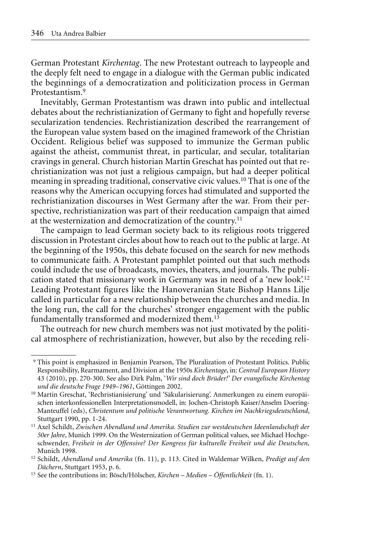German Protestant *Kirchentag*. The new Protestant outreach to laypeople and the deeply felt need to engage in a dialogue with the German public indicated the beginnings of a democratization and politicization process in German Protestantism.9

Inevitably, German Protestantism was drawn into public and intellectual debates about the rechristianization of Germany to fight and hopefully reverse secularization tendencies. Rechristianization described the rearrangement of the European value system based on the imagined framework of the Christian Occident. Religious belief was supposed to immunize the German public against the atheist, communist threat, in particular, and secular, totalitarian cravings in general. Church historian Martin Greschat has pointed out that rechristianization was not just a religious campaign, but had a deeper political meaning in spreading traditional, conservative civic values.10 That is one of the reasons why the American occupying forces had stimulated and supported the rechristianization discourses in West Germany after the war. From their perspective, rechristianization was part of their reeducation campaign that aimed at the westernization and democratization of the country.11

The campaign to lead German society back to its religious roots triggered discussion in Protestant circles about how to reach out to the public at large. At the beginning of the 1950s, this debate focused on the search for new methods to communicate faith. A Protestant pamphlet pointed out that such methods could include the use of broadcasts, movies, theaters, and journals. The publication stated that missionary work in Germany was in need of a 'new look'.12 Leading Protestant figures like the Hanoveranian State Bishop Hanns Lilje called in particular for a new relationship between the churches and media. In the long run, the call for the churches' stronger engagement with the public fundamentally transformed and modernized them.<sup>13</sup>

The outreach for new church members was not just motivated by the political atmosphere of rechristianization, however, but also by the receding reli-

<sup>9</sup> This point is emphasized in Benjamin Pearson, The Pluralization of Protestant Politics. Public Responsibility, Rearmament, and Division at the 1950s *Kirchentage*, in: *Central European History* 43 (2010), pp. 270-300. See also Dirk Palm, '*Wir sind doch Brüder!' Der evangelische Kirchentag und die deutsche Frage 1949–1961*, Göttingen 2002.

<sup>&</sup>lt;sup>10</sup> Martin Greschat, 'Rechristianisierung' und 'Säkularisierung'. Anmerkungen zu einem europäischen interkonfessionellen Interpretationsmodell, in: Jochen-Christoph Kaiser/Anselm Doering-Manteuffel (eds), *Christentum und politische Verantwortung. Kirchen im Nachkriegsdeutschland*, Stuttgart 1990, pp. 1-24.

<sup>11</sup> Axel Schildt, *Zwischen Abendland und Amerika. Studien zur westdeutschen Ideenlandschaft der 50er Jahre*, Munich 1999. On the Westernization of German political values, see Michael Hochgeschwender, *Freiheit in der Offensive? Der Kongress für kulturelle Freiheit und die Deutschen,* Munich 1998.

<sup>12</sup> Schildt, *Abendland und Amerika* (fn. 11), p. 113. Cited in Waldemar Wilken, *Predigt auf den Dächern*, Stuttgart 1953, p. 6.

<sup>13</sup> See the contributions in: Bösch/Hölscher, *Kirchen – Medien – Öffentlichkeit* (fn. 1).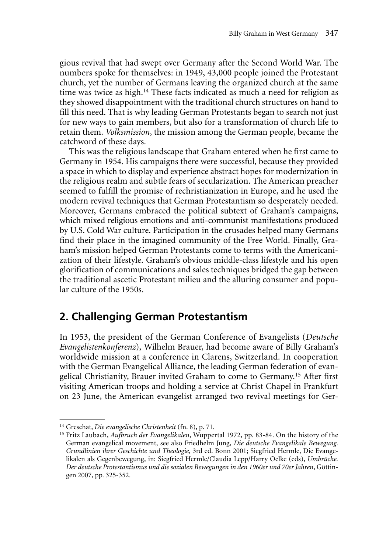gious revival that had swept over Germany after the Second World War. The numbers spoke for themselves: in 1949, 43,000 people joined the Protestant church, yet the number of Germans leaving the organized church at the same time was twice as high.<sup>14</sup> These facts indicated as much a need for religion as they showed disappointment with the traditional church structures on hand to fill this need. That is why leading German Protestants began to search not just for new ways to gain members, but also for a transformation of church life to retain them. *Volksmission*, the mission among the German people, became the catchword of these days.

This was the religious landscape that Graham entered when he first came to Germany in 1954. His campaigns there were successful, because they provided a space in which to display and experience abstract hopes for modernization in the religious realm and subtle fears of secularization. The American preacher seemed to fulfill the promise of rechristianization in Europe, and he used the modern revival techniques that German Protestantism so desperately needed. Moreover, Germans embraced the political subtext of Graham's campaigns, which mixed religious emotions and anti-communist manifestations produced by U.S. Cold War culture. Participation in the crusades helped many Germans find their place in the imagined community of the Free World. Finally, Graham's mission helped German Protestants come to terms with the Americanization of their lifestyle. Graham's obvious middle-class lifestyle and his open glorification of communications and sales techniques bridged the gap between the traditional ascetic Protestant milieu and the alluring consumer and popular culture of the 1950s.

#### **2. Challenging German Protestantism**

In 1953, the president of the German Conference of Evangelists (*Deutsche Evangelistenkonferenz*), Wilhelm Brauer, had become aware of Billy Graham's worldwide mission at a conference in Clarens, Switzerland. In cooperation with the German Evangelical Alliance, the leading German federation of evangelical Christianity, Brauer invited Graham to come to Germany.15 After first visiting American troops and holding a service at Christ Chapel in Frankfurt on 23 June, the American evangelist arranged two revival meetings for Ger-

<sup>14</sup> Greschat, *Die evangelische Christenheit* (fn. 8), p. 71.

<sup>15</sup> Fritz Laubach, *Aufbruch der Evangelikalen*, Wuppertal 1972, pp. 83-84. On the history of the German evangelical movement, see also Friedhelm Jung, *Die deutsche Evangelikale Bewegung. Grundlinien ihrer Geschichte und Theologie*, 3rd ed. Bonn 2001; Siegfried Hermle, Die Evangelikalen als Gegenbewegung, in: Siegfried Hermle/Claudia Lepp/Harry Oelke (eds), *Umbrüche. Der deutsche Protestantismus und die sozialen Bewegungen in den 1960er und 70er Jahren*, Göttingen 2007, pp. 325-352.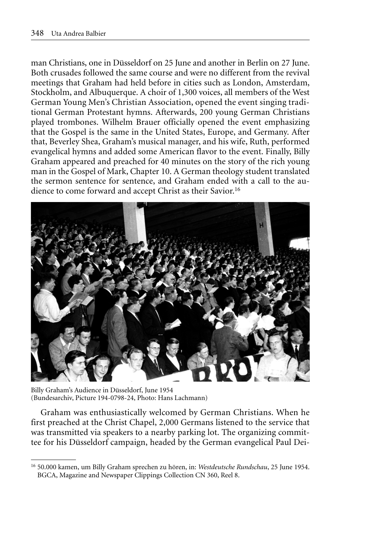man Christians, one in Düsseldorf on 25 June and another in Berlin on 27 June. Both crusades followed the same course and were no different from the revival meetings that Graham had held before in cities such as London, Amsterdam, Stockholm, and Albuquerque. A choir of 1,300 voices, all members of the West German Young Men's Christian Association, opened the event singing traditional German Protestant hymns. Afterwards, 200 young German Christians played trombones. Wilhelm Brauer officially opened the event emphasizing that the Gospel is the same in the United States, Europe, and Germany. After that, Beverley Shea, Graham's musical manager, and his wife, Ruth, performed evangelical hymns and added some American flavor to the event. Finally, Billy Graham appeared and preached for 40 minutes on the story of the rich young man in the Gospel of Mark, Chapter 10. A German theology student translated the sermon sentence for sentence, and Graham ended with a call to the audience to come forward and accept Christ as their Savior.16



Billy Graham's Audience in Düsseldorf, June 1954 (Bundesarchiv, Picture 194-0798-24, Photo: Hans Lachmann)

Graham was enthusiastically welcomed by German Christians. When he first preached at the Christ Chapel, 2,000 Germans listened to the service that was transmitted via speakers to a nearby parking lot. The organizing committee for his Düsseldorf campaign, headed by the German evangelical Paul Dei-

<sup>16</sup> 50.000 kamen, um Billy Graham sprechen zu hören, in: *Westdeutsche Rundschau*, 25 June 1954. BGCA, Magazine and Newspaper Clippings Collection CN 360, Reel 8.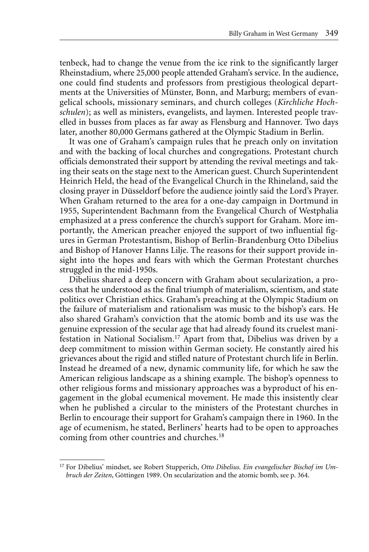tenbeck, had to change the venue from the ice rink to the significantly larger Rheinstadium, where 25,000 people attended Graham's service. In the audience, one could find students and professors from prestigious theological departments at the Universities of Münster, Bonn, and Marburg; members of evangelical schools, missionary seminars, and church colleges (*Kirchliche Hochschulen*); as well as ministers, evangelists, and laymen. Interested people travelled in busses from places as far away as Flensburg and Hannover. Two days later, another 80,000 Germans gathered at the Olympic Stadium in Berlin.

It was one of Graham's campaign rules that he preach only on invitation and with the backing of local churches and congregations. Protestant church officials demonstrated their support by attending the revival meetings and taking their seats on the stage next to the American guest. Church Superintendent Heinrich Held, the head of the Evangelical Church in the Rhineland, said the closing prayer in Düsseldorf before the audience jointly said the Lord's Prayer. When Graham returned to the area for a one-day campaign in Dortmund in 1955, Superintendent Bachmann from the Evangelical Church of Westphalia emphasized at a press conference the church's support for Graham. More importantly, the American preacher enjoyed the support of two influential figures in German Protestantism, Bishop of Berlin-Brandenburg Otto Dibelius and Bishop of Hanover Hanns Lilje. The reasons for their support provide insight into the hopes and fears with which the German Protestant churches struggled in the mid-1950s.

Dibelius shared a deep concern with Graham about secularization, a process that he understood as the final triumph of materialism, scientism, and state politics over Christian ethics. Graham's preaching at the Olympic Stadium on the failure of materialism and rationalism was music to the bishop's ears. He also shared Graham's conviction that the atomic bomb and its use was the genuine expression of the secular age that had already found its cruelest manifestation in National Socialism.17 Apart from that, Dibelius was driven by a deep commitment to mission within German society. He constantly aired his grievances about the rigid and stifled nature of Protestant church life in Berlin. Instead he dreamed of a new, dynamic community life, for which he saw the American religious landscape as a shining example. The bishop's openness to other religious forms and missionary approaches was a byproduct of his engagement in the global ecumenical movement. He made this insistently clear when he published a circular to the ministers of the Protestant churches in Berlin to encourage their support for Graham's campaign there in 1960. In the age of ecumenism, he stated, Berliners' hearts had to be open to approaches coming from other countries and churches.<sup>18</sup>

<sup>17</sup> For Dibelius' mindset, see Robert Stupperich, *Otto Dibelius. Ein evangelischer Bischof im Umbruch der Zeiten*, Göttingen 1989. On secularization and the atomic bomb, see p. 364.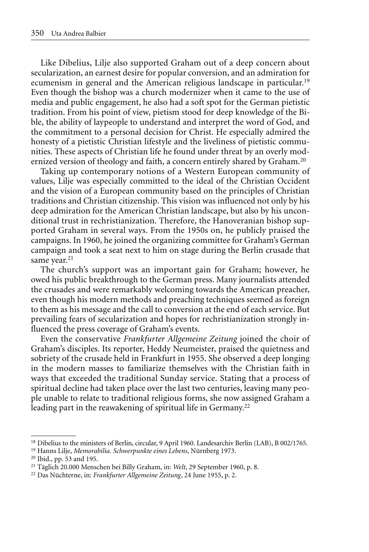Like Dibelius, Lilje also supported Graham out of a deep concern about secularization, an earnest desire for popular conversion, and an admiration for ecumenism in general and the American religious landscape in particular.19 Even though the bishop was a church modernizer when it came to the use of media and public engagement, he also had a soft spot for the German pietistic tradition. From his point of view, pietism stood for deep knowledge of the Bible, the ability of laypeople to understand and interpret the word of God, and the commitment to a personal decision for Christ. He especially admired the honesty of a pietistic Christian lifestyle and the liveliness of pietistic communities. These aspects of Christian life he found under threat by an overly modernized version of theology and faith, a concern entirely shared by Graham.<sup>20</sup>

Taking up contemporary notions of a Western European community of values, Lilje was especially committed to the ideal of the Christian Occident and the vision of a European community based on the principles of Christian traditions and Christian citizenship. This vision was influenced not only by his deep admiration for the American Christian landscape, but also by his unconditional trust in rechristianization. Therefore, the Hanoveranian bishop supported Graham in several ways. From the 1950s on, he publicly praised the campaigns. In 1960, he joined the organizing committee for Graham's German campaign and took a seat next to him on stage during the Berlin crusade that same year.<sup>21</sup>

The church's support was an important gain for Graham; however, he owed his public breakthrough to the German press. Many journalists attended the crusades and were remarkably welcoming towards the American preacher, even though his modern methods and preaching techniques seemed as foreign to them as his message and the call to conversion at the end of each service. But prevailing fears of secularization and hopes for rechristianization strongly influenced the press coverage of Graham's events.

Even the conservative *Frankfurter Allgemeine Zeitung* joined the choir of Graham's disciples. Its reporter, Heddy Neumeister, praised the quietness and sobriety of the crusade held in Frankfurt in 1955. She observed a deep longing in the modern masses to familiarize themselves with the Christian faith in ways that exceeded the traditional Sunday service. Stating that a process of spiritual decline had taken place over the last two centuries, leaving many people unable to relate to traditional religious forms, she now assigned Graham a leading part in the reawakening of spiritual life in Germany.<sup>22</sup>

<sup>18</sup> Dibelius to the ministers of Berlin, circular, 9 April 1960. Landesarchiv Berlin (LAB), B 002/1765.

<sup>19</sup> Hanns Lilje, *Memorabilia. Schwerpunkte eines Lebens*, Nürnberg 1973.

<sup>20</sup> Ibid., pp. 53 and 195.

<sup>21</sup> Täglich 20.000 Menschen bei Billy Graham, in: *Welt*, 29 September 1960, p. 8.

<sup>22</sup> Das Nüchterne, in: *Frankfurter Allgemeine Zeitung*, 24 June 1955, p. 2.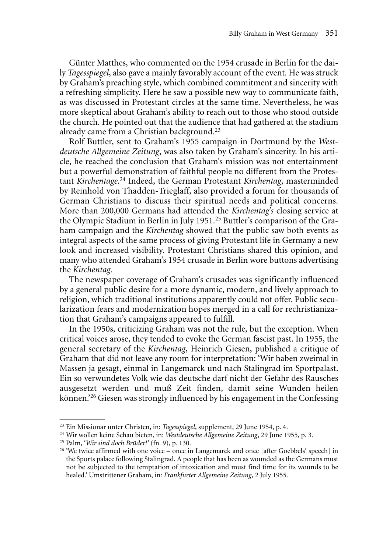Günter Matthes, who commented on the 1954 crusade in Berlin for the daily *Tagesspiegel*, also gave a mainly favorably account of the event. He was struck by Graham's preaching style, which combined commitment and sincerity with a refreshing simplicity. Here he saw a possible new way to communicate faith, as was discussed in Protestant circles at the same time. Nevertheless, he was more skeptical about Graham's ability to reach out to those who stood outside the church. He pointed out that the audience that had gathered at the stadium already came from a Christian background.23

Rolf Buttler, sent to Graham's 1955 campaign in Dortmund by the *Westdeutsche Allgemeine Zeitung*, was also taken by Graham's sincerity. In his article, he reached the conclusion that Graham's mission was not entertainment but a powerful demonstration of faithful people no different from the Protestant *Kirchentage*. 24 Indeed, the German Protestant *Kirchentag*, masterminded by Reinhold von Thadden-Trieglaff, also provided a forum for thousands of German Christians to discuss their spiritual needs and political concerns. More than 200,000 Germans had attended the *Kirchentag's* closing service at the Olympic Stadium in Berlin in July 1951.25 Buttler's comparison of the Graham campaign and the *Kirchentag* showed that the public saw both events as integral aspects of the same process of giving Protestant life in Germany a new look and increased visibility. Protestant Christians shared this opinion, and many who attended Graham's 1954 crusade in Berlin wore buttons advertising the *Kirchentag*.

The newspaper coverage of Graham's crusades was significantly influenced by a general public desire for a more dynamic, modern, and lively approach to religion, which traditional institutions apparently could not offer. Public secularization fears and modernization hopes merged in a call for rechristianization that Graham's campaigns appeared to fulfill.

In the 1950s, criticizing Graham was not the rule, but the exception. When critical voices arose, they tended to evoke the German fascist past. In 1955, the general secretary of the *Kirchentag*, Heinrich Giesen, published a critique of Graham that did not leave any room for interpretation: 'Wir haben zweimal in Massen ja gesagt, einmal in Langemarck und nach Stalingrad im Sportpalast. Ein so verwundetes Volk wie das deutsche darf nicht der Gefahr des Rausches ausgesetzt werden und muß Zeit finden, damit seine Wunden heilen können.'26 Giesen was strongly influenced by his engagement in the Confessing

<sup>23</sup> Ein Missionar unter Christen, in: *Tagesspiegel*, supplement, 29 June 1954, p. 4.

<sup>24</sup> Wir wollen keine Schau bieten, in: *Westdeutsche Allgemeine Zeitung*, 29 June 1955, p. 3.

<sup>25</sup> Palm, '*Wir sind doch Brüder!'* (fn. 9), p. 130.

<sup>&</sup>lt;sup>26</sup> 'We twice affirmed with one voice – once in Langemarck and once [after Goebbels' speech] in the Sports palace following Stalingrad. A people that has been as wounded as the Germans must not be subjected to the temptation of intoxication and must find time for its wounds to be healed.' Umstrittener Graham, in: *Frankfurter Allgemeine Zeitung*, 2 July 1955.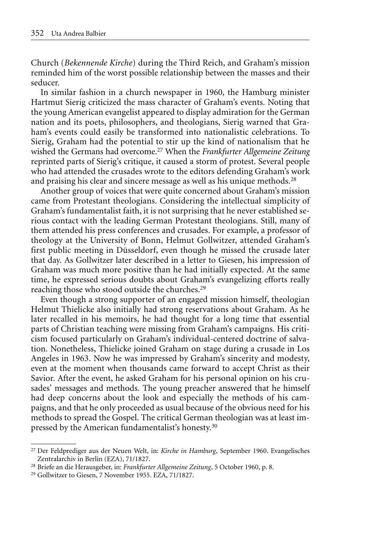Church (*Bekennende Kirche*) during the Third Reich, and Graham's mission reminded him of the worst possible relationship between the masses and their seducer.

In similar fashion in a church newspaper in 1960, the Hamburg minister Hartmut Sierig criticized the mass character of Graham's events. Noting that the young American evangelist appeared to display admiration for the German nation and its poets, philosophers, and theologians, Sierig warned that Graham's events could easily be transformed into nationalistic celebrations. To Sierig, Graham had the potential to stir up the kind of nationalism that he wished the Germans had overcome.27 When the *Frankfurter Allgemeine Zeitung* reprinted parts of Sierig's critique, it caused a storm of protest. Several people who had attended the crusades wrote to the editors defending Graham's work and praising his clear and sincere message as well as his unique methods.<sup>28</sup>

Another group of voices that were quite concerned about Graham's mission came from Protestant theologians. Considering the intellectual simplicity of Graham's fundamentalist faith, it is not surprising that he never established serious contact with the leading German Protestant theologians. Still, many of them attended his press conferences and crusades. For example, a professor of theology at the University of Bonn, Helmut Gollwitzer, attended Graham's first public meeting in Düsseldorf, even though he missed the crusade later that day. As Gollwitzer later described in a letter to Giesen, his impression of Graham was much more positive than he had initially expected. At the same time, he expressed serious doubts about Graham's evangelizing efforts really reaching those who stood outside the churches.29

Even though a strong supporter of an engaged mission himself, theologian Helmut Thielicke also initially had strong reservations about Graham. As he later recalled in his memoirs, he had thought for a long time that essential parts of Christian teaching were missing from Graham's campaigns. His criticism focused particularly on Graham's individual-centered doctrine of salvation. Nonetheless, Thielicke joined Graham on stage during a crusade in Los Angeles in 1963. Now he was impressed by Graham's sincerity and modesty, even at the moment when thousands came forward to accept Christ as their Savior. After the event, he asked Graham for his personal opinion on his crusades' messages and methods. The young preacher answered that he himself had deep concerns about the look and especially the methods of his campaigns, and that he only proceeded as usual because of the obvious need for his methods to spread the Gospel. The critical German theologian was at least impressed by the American fundamentalist's honesty.<sup>30</sup>

<sup>27</sup> Der Feldprediger aus der Neuen Welt, in: *Kirche in Hamburg*, September 1960. Evangelisches Zentralarchiv in Berlin (EZA), 71/1827.

<sup>28</sup> Briefe an die Herausgeber, in: *Frankfurter Allgemeine Zeitung*, 5 October 1960, p. 8.

<sup>29</sup> Gollwitzer to Giesen, 7 November 1955. EZA, 71/1827.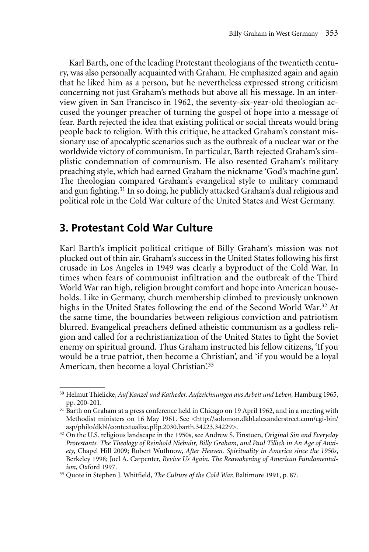Karl Barth, one of the leading Protestant theologians of the twentieth century, was also personally acquainted with Graham. He emphasized again and again that he liked him as a person, but he nevertheless expressed strong criticism concerning not just Graham's methods but above all his message. In an interview given in San Francisco in 1962, the seventy-six-year-old theologian accused the younger preacher of turning the gospel of hope into a message of fear. Barth rejected the idea that existing political or social threats would bring people back to religion. With this critique, he attacked Graham's constant missionary use of apocalyptic scenarios such as the outbreak of a nuclear war or the worldwide victory of communism. In particular, Barth rejected Graham's simplistic condemnation of communism. He also resented Graham's military preaching style, which had earned Graham the nickname 'God's machine gun'. The theologian compared Graham's evangelical style to military command and gun fighting.31 In so doing, he publicly attacked Graham's dual religious and political role in the Cold War culture of the United States and West Germany.

#### **3. Protestant Cold War Culture**

Karl Barth's implicit political critique of Billy Graham's mission was not plucked out of thin air. Graham's success in the United States following his first crusade in Los Angeles in 1949 was clearly a byproduct of the Cold War. In times when fears of communist infiltration and the outbreak of the Third World War ran high, religion brought comfort and hope into American households. Like in Germany, church membership climbed to previously unknown highs in the United States following the end of the Second World War.32 At the same time, the boundaries between religious conviction and patriotism blurred. Evangelical preachers defined atheistic communism as a godless religion and called for a rechristianization of the United States to fight the Soviet enemy on spiritual ground. Thus Graham instructed his fellow citizens, 'If you would be a true patriot, then become a Christian', and 'if you would be a loyal American, then become a loyal Christian<sup>'33</sup>

<sup>30</sup> Helmut Thielicke, *Auf Kanzel und Katheder. Aufzeichnungen aus Arbeit und Leben*, Hamburg 1965, pp. 200-201.

<sup>&</sup>lt;sup>31</sup> Barth on Graham at a press conference held in Chicago on 19 April 1962, and in a meeting with Methodist ministers on 16 May 1961. See <http://solomon.dkbl.alexanderstreet.com/cgi-bin/ asp/philo/dkbl/contextualize.pl?p.2030.barth.34223.34229>.

<sup>32</sup> On the U.S. religious landscape in the 1950s, see Andrew S. Finstuen, *Original Sin and Everyday Protestants. The Theology of Reinhold Niebuhr, Billy Graham, and Paul Tillich in An Age of Anxiety*, Chapel Hill 2009; Robert Wuthnow, *After Heaven. Spirituality in America since the 1950s*, Berkeley 1998; Joel A. Carpenter, *Revive Us Again. The Reawakening of American Fundamentalism*, Oxford 1997.

<sup>33</sup> Quote in Stephen J. Whitfield, *The Culture of the Cold War*, Baltimore 1991, p. 87.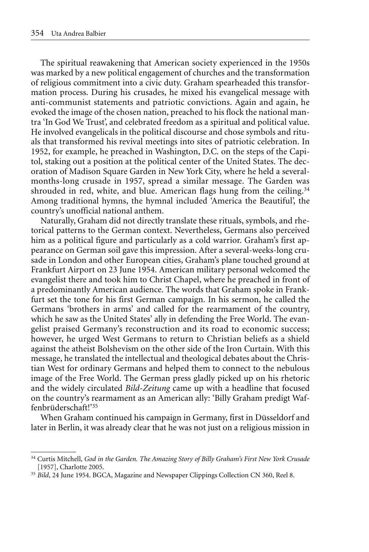The spiritual reawakening that American society experienced in the 1950s was marked by a new political engagement of churches and the transformation of religious commitment into a civic duty. Graham spearheaded this transformation process. During his crusades, he mixed his evangelical message with anti-communist statements and patriotic convictions. Again and again, he evoked the image of the chosen nation, preached to his flock the national mantra 'In God We Trust', and celebrated freedom as a spiritual and political value. He involved evangelicals in the political discourse and chose symbols and rituals that transformed his revival meetings into sites of patriotic celebration. In 1952, for example, he preached in Washington, D.C. on the steps of the Capitol, staking out a position at the political center of the United States. The decoration of Madison Square Garden in New York City, where he held a severalmonths-long crusade in 1957, spread a similar message. The Garden was shrouded in red, white, and blue. American flags hung from the ceiling.<sup>34</sup> Among traditional hymns, the hymnal included 'America the Beautiful', the country's unofficial national anthem.

Naturally, Graham did not directly translate these rituals, symbols, and rhetorical patterns to the German context. Nevertheless, Germans also perceived him as a political figure and particularly as a cold warrior. Graham's first appearance on German soil gave this impression. After a several-weeks-long crusade in London and other European cities, Graham's plane touched ground at Frankfurt Airport on 23 June 1954. American military personal welcomed the evangelist there and took him to Christ Chapel, where he preached in front of a predominantly American audience. The words that Graham spoke in Frankfurt set the tone for his first German campaign. In his sermon, he called the Germans 'brothers in arms' and called for the rearmament of the country, which he saw as the United States' ally in defending the Free World. The evangelist praised Germany's reconstruction and its road to economic success; however, he urged West Germans to return to Christian beliefs as a shield against the atheist Bolshevism on the other side of the Iron Curtain. With this message, he translated the intellectual and theological debates about the Christian West for ordinary Germans and helped them to connect to the nebulous image of the Free World. The German press gladly picked up on his rhetoric and the widely circulated *Bild-Zeitung* came up with a headline that focused on the country's rearmament as an American ally: 'Billy Graham predigt Waffenbrüderschaft!'35

When Graham continued his campaign in Germany, first in Düsseldorf and later in Berlin, it was already clear that he was not just on a religious mission in

<sup>34</sup> Curtis Mitchell, *God in the Garden. The Amazing Story of Billy Graham's First New York Crusade* [1957], Charlotte 2005.

<sup>35</sup> *Bild*, 24 June 1954. BGCA, Magazine and Newspaper Clippings Collection CN 360, Reel 8.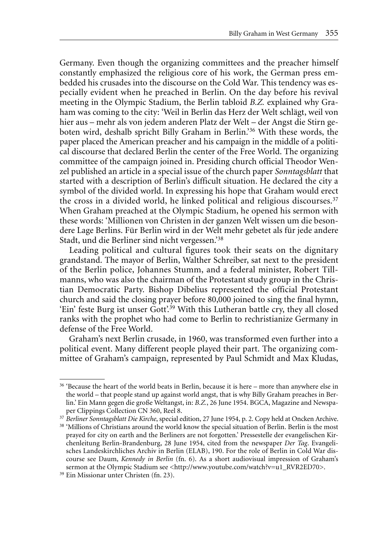Germany. Even though the organizing committees and the preacher himself constantly emphasized the religious core of his work, the German press embedded his crusades into the discourse on the Cold War. This tendency was especially evident when he preached in Berlin. On the day before his revival meeting in the Olympic Stadium, the Berlin tabloid *B.Z.* explained why Graham was coming to the city: 'Weil in Berlin das Herz der Welt schlägt, weil von hier aus – mehr als von jedem anderen Platz der Welt – der Angst die Stirn geboten wird, deshalb spricht Billy Graham in Berlin.'36 With these words, the paper placed the American preacher and his campaign in the middle of a political discourse that declared Berlin the center of the Free World. The organizing committee of the campaign joined in. Presiding church official Theodor Wenzel published an article in a special issue of the church paper *Sonntagsblatt* that started with a description of Berlin's difficult situation. He declared the city a symbol of the divided world. In expressing his hope that Graham would erect the cross in a divided world, he linked political and religious discourses.37 When Graham preached at the Olympic Stadium, he opened his sermon with these words: 'Millionen von Christen in der ganzen Welt wissen um die besondere Lage Berlins. Für Berlin wird in der Welt mehr gebetet als für jede andere Stadt, und die Berliner sind nicht vergessen.'38

Leading political and cultural figures took their seats on the dignitary grandstand. The mayor of Berlin, Walther Schreiber, sat next to the president of the Berlin police, Johannes Stumm, and a federal minister, Robert Tillmanns, who was also the chairman of the Protestant study group in the Christian Democratic Party. Bishop Dibelius represented the official Protestant church and said the closing prayer before 80,000 joined to sing the final hymn, 'Ein' feste Burg ist unser Gott'.<sup>39</sup> With this Lutheran battle cry, they all closed ranks with the prophet who had come to Berlin to rechristianize Germany in defense of the Free World.

Graham's next Berlin crusade, in 1960, was transformed even further into a political event. Many different people played their part. The organizing committee of Graham's campaign, represented by Paul Schmidt and Max Kludas,

<sup>&</sup>lt;sup>36</sup> 'Because the heart of the world beats in Berlin, because it is here – more than anywhere else in the world – that people stand up against world angst, that is why Billy Graham preaches in Berlin.' Ein Mann gegen die große Weltangst, in: *B.Z.*, 26 June 1954. BGCA, Magazine and Newspaper Clippings Collection CN 360, Reel 8.

<sup>&</sup>lt;sup>37</sup> Berliner Sonntagsblatt Die Kirche, special edition, 27 June 1954, p. 2. Copy held at Oncken Archive.

<sup>38</sup> 'Millions of Christians around the world know the special situation of Berlin. Berlin is the most prayed for city on earth and the Berliners are not forgotten.' Pressestelle der evangelischen Kirchenleitung Berlin-Brandenburg, 28 June 1954, cited from the newspaper *Der Tag*. Evangelisches Landeskirchliches Archiv in Berlin (ELAB), 190. For the role of Berlin in Cold War discourse see Daum, *Kennedy in Berlin* (fn. 6). As a short audiovisual impression of Graham's sermon at the Olympic Stadium see <http://www.youtube.com/watch?v=u1\_RVR2ED70>.

<sup>39</sup> Ein Missionar unter Christen (fn. 23).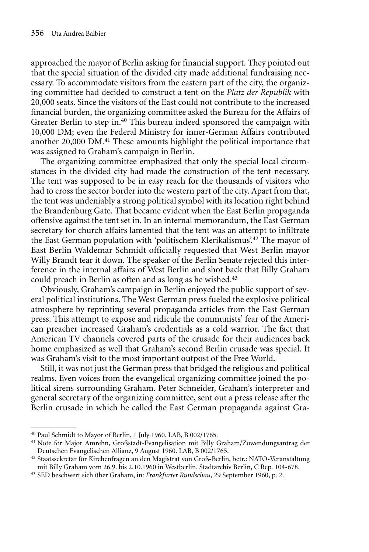approached the mayor of Berlin asking for financial support. They pointed out that the special situation of the divided city made additional fundraising necessary. To accommodate visitors from the eastern part of the city, the organizing committee had decided to construct a tent on the *Platz der Republik* with 20,000 seats. Since the visitors of the East could not contribute to the increased financial burden, the organizing committee asked the Bureau for the Affairs of Greater Berlin to step in.<sup>40</sup> This bureau indeed sponsored the campaign with 10,000 DM; even the Federal Ministry for inner-German Affairs contributed another 20,000 DM.41 These amounts highlight the political importance that was assigned to Graham's campaign in Berlin.

The organizing committee emphasized that only the special local circumstances in the divided city had made the construction of the tent necessary. The tent was supposed to be in easy reach for the thousands of visitors who had to cross the sector border into the western part of the city. Apart from that, the tent was undeniably a strong political symbol with its location right behind the Brandenburg Gate. That became evident when the East Berlin propaganda offensive against the tent set in. In an internal memorandum, the East German secretary for church affairs lamented that the tent was an attempt to infiltrate the East German population with 'politischem Klerikalismus'.42 The mayor of East Berlin Waldemar Schmidt officially requested that West Berlin mayor Willy Brandt tear it down. The speaker of the Berlin Senate rejected this interference in the internal affairs of West Berlin and shot back that Billy Graham could preach in Berlin as often and as long as he wished.43

Obviously, Graham's campaign in Berlin enjoyed the public support of several political institutions. The West German press fueled the explosive political atmosphere by reprinting several propaganda articles from the East German press. This attempt to expose and ridicule the communists' fear of the American preacher increased Graham's credentials as a cold warrior. The fact that American TV channels covered parts of the crusade for their audiences back home emphasized as well that Graham's second Berlin crusade was special. It was Graham's visit to the most important outpost of the Free World.

Still, it was not just the German press that bridged the religious and political realms. Even voices from the evangelical organizing committee joined the political sirens surrounding Graham. Peter Schneider, Graham's interpreter and general secretary of the organizing committee, sent out a press release after the Berlin crusade in which he called the East German propaganda against Gra-

<sup>40</sup> Paul Schmidt to Mayor of Berlin, 1 July 1960. LAB, B 002/1765.

<sup>41</sup> Note for Major Amrehn, Großstadt-Evangelisation mit Billy Graham/Zuwendungsantrag der Deutschen Evangelischen Allianz, 9 August 1960. LAB, B 002/1765.

<sup>42</sup> Staatssekretär für Kirchenfragen an den Magistrat von Groß-Berlin, betr.: NATO-Veranstaltung mit Billy Graham vom 26.9. bis 2.10.1960 in Westberlin. Stadtarchiv Berlin, C Rep. 104-678.

<sup>43</sup> SED beschwert sich über Graham, in: *Frankfurter Rundschau*, 29 September 1960, p. 2.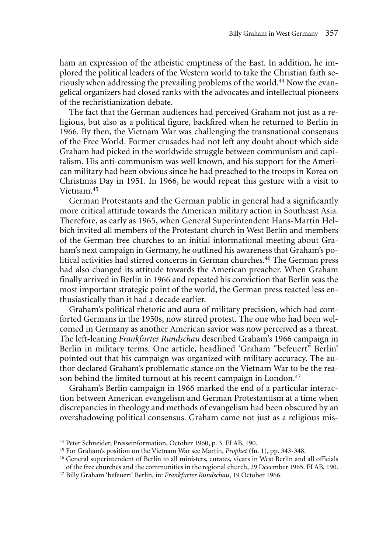ham an expression of the atheistic emptiness of the East. In addition, he implored the political leaders of the Western world to take the Christian faith seriously when addressing the prevailing problems of the world.<sup>44</sup> Now the evangelical organizers had closed ranks with the advocates and intellectual pioneers of the rechristianization debate.

The fact that the German audiences had perceived Graham not just as a religious, but also as a political figure, backfired when he returned to Berlin in 1966. By then, the Vietnam War was challenging the transnational consensus of the Free World. Former crusades had not left any doubt about which side Graham had picked in the worldwide struggle between communism and capitalism. His anti-communism was well known, and his support for the American military had been obvious since he had preached to the troops in Korea on Christmas Day in 1951. In 1966, he would repeat this gesture with a visit to Vietnam.45

German Protestants and the German public in general had a significantly more critical attitude towards the American military action in Southeast Asia. Therefore, as early as 1965, when General Superintendent Hans-Martin Helbich invited all members of the Protestant church in West Berlin and members of the German free churches to an initial informational meeting about Graham's next campaign in Germany, he outlined his awareness that Graham's political activities had stirred concerns in German churches.46 The German press had also changed its attitude towards the American preacher. When Graham finally arrived in Berlin in 1966 and repeated his conviction that Berlin was the most important strategic point of the world, the German press reacted less enthusiastically than it had a decade earlier.

Graham's political rhetoric and aura of military precision, which had comforted Germans in the 1950s, now stirred protest. The one who had been welcomed in Germany as another American savior was now perceived as a threat. The left-leaning *Frankfurter Rundschau* described Graham's 1966 campaign in Berlin in military terms. One article, headlined 'Graham "befeuert" Berlin' pointed out that his campaign was organized with military accuracy. The author declared Graham's problematic stance on the Vietnam War to be the reason behind the limited turnout at his recent campaign in London.<sup>47</sup>

Graham's Berlin campaign in 1966 marked the end of a particular interaction between American evangelism and German Protestantism at a time when discrepancies in theology and methods of evangelism had been obscured by an overshadowing political consensus. Graham came not just as a religious mis-

<sup>44</sup> Peter Schneider, Presseinformation, October 1960, p. 3. ELAB, 190.

<sup>45</sup> For Graham's position on the Vietnam War see Martin, *Prophet* (fn. 1), pp. 343-348.

<sup>46</sup> General superintendent of Berlin to all ministers, curates, vicars in West Berlin and all officials of the free churches and the communities in the regional church, 29 December 1965. ELAB, 190.

<sup>47</sup> Billy Graham 'befeuert' Berlin, in: *Frankfurter Rundschau*, 19 October 1966.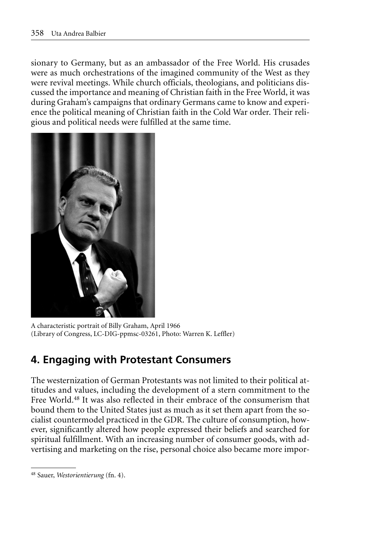sionary to Germany, but as an ambassador of the Free World. His crusades were as much orchestrations of the imagined community of the West as they were revival meetings. While church officials, theologians, and politicians discussed the importance and meaning of Christian faith in the Free World, it was during Graham's campaigns that ordinary Germans came to know and experience the political meaning of Christian faith in the Cold War order. Their religious and political needs were fulfilled at the same time.



A characteristic portrait of Billy Graham, April 1966 (Library of Congress, LC-DIG-ppmsc-03261, Photo: Warren K. Leffler)

## **4. Engaging with Protestant Consumers**

The westernization of German Protestants was not limited to their political attitudes and values, including the development of a stern commitment to the Free World.<sup>48</sup> It was also reflected in their embrace of the consumerism that bound them to the United States just as much as it set them apart from the socialist countermodel practiced in the GDR. The culture of consumption, however, significantly altered how people expressed their beliefs and searched for spiritual fulfillment. With an increasing number of consumer goods, with advertising and marketing on the rise, personal choice also became more impor-

<sup>48</sup> Sauer, *Westorientierung* (fn. 4).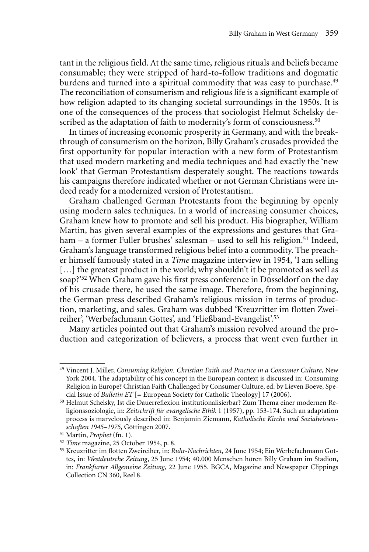tant in the religious field. At the same time, religious rituals and beliefs became consumable; they were stripped of hard-to-follow traditions and dogmatic burdens and turned into a spiritual commodity that was easy to purchase.<sup>49</sup> The reconciliation of consumerism and religious life is a significant example of how religion adapted to its changing societal surroundings in the 1950s. It is one of the consequences of the process that sociologist Helmut Schelsky described as the adaptation of faith to modernity's form of consciousness.<sup>50</sup>

In times of increasing economic prosperity in Germany, and with the breakthrough of consumerism on the horizon, Billy Graham's crusades provided the first opportunity for popular interaction with a new form of Protestantism that used modern marketing and media techniques and had exactly the 'new look' that German Protestantism desperately sought. The reactions towards his campaigns therefore indicated whether or not German Christians were indeed ready for a modernized version of Protestantism.

Graham challenged German Protestants from the beginning by openly using modern sales techniques. In a world of increasing consumer choices, Graham knew how to promote and sell his product. His biographer, William Martin, has given several examples of the expressions and gestures that Graham – a former Fuller brushes' salesman – used to sell his religion.<sup>51</sup> Indeed, Graham's language transformed religious belief into a commodity. The preacher himself famously stated in a *Time* magazine interview in 1954, 'I am selling [...] the greatest product in the world; why shouldn't it be promoted as well as soap?'52 When Graham gave his first press conference in Düsseldorf on the day of his crusade there, he used the same image. Therefore, from the beginning, the German press described Graham's religious mission in terms of production, marketing, and sales. Graham was dubbed 'Kreuzritter im flotten Zweireiher', 'Werbefachmann Gottes', and 'Fließband-Evangelist'.53

Many articles pointed out that Graham's mission revolved around the production and categorization of believers, a process that went even further in

<sup>49</sup> Vincent J. Miller, *Consuming Religion. Christian Faith and Practice in a Consumer Culture*, New York 2004. The adaptability of his concept in the European context is discussed in: Consuming Religion in Europe? Christian Faith Challenged by Consumer Culture, ed. by Lieven Boeve, Special Issue of *Bulletin ET* [= European Society for Catholic Theology] 17 (2006).

<sup>50</sup> Helmut Schelsky, Ist die Dauerreflexion institutionalisierbar? Zum Thema einer modernen Religionssoziologie, in: *Zeitschrift für evangelische Ethik* 1 (1957), pp. 153-174. Such an adaptation process is marvelously described in: Benjamin Ziemann, *Katholische Kirche und Sozialwissenschaften 1945–1975*, Göttingen 2007.

<sup>51</sup> Martin, *Prophet* (fn. 1).

<sup>52</sup> *Time* magazine, 25 October 1954, p. 8.

<sup>53</sup> Kreuzritter im flotten Zweireiher, in: *Ruhr-Nachrichten*, 24 June 1954; Ein Werbefachmann Gottes, in: *Westdeutsche Zeitung*, 25 June 1954; 40.000 Menschen hören Billy Graham im Stadion, in: *Frankfurter Allgemeine Zeitung*, 22 June 1955. BGCA, Magazine and Newspaper Clippings Collection CN 360, Reel 8.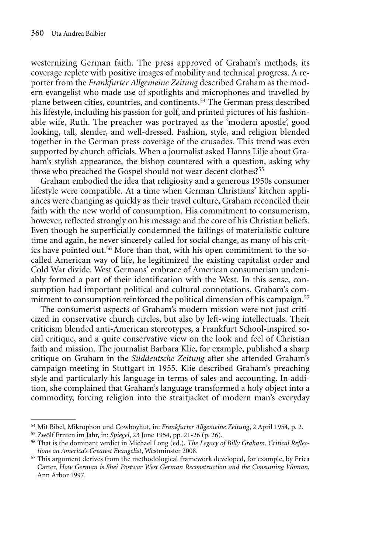westernizing German faith. The press approved of Graham's methods, its coverage replete with positive images of mobility and technical progress. A reporter from the *Frankfurter Allgemeine Zeitung* described Graham as the modern evangelist who made use of spotlights and microphones and travelled by plane between cities, countries, and continents.54 The German press described his lifestyle, including his passion for golf, and printed pictures of his fashionable wife, Ruth. The preacher was portrayed as the 'modern apostle', good looking, tall, slender, and well-dressed. Fashion, style, and religion blended together in the German press coverage of the crusades. This trend was even supported by church officials. When a journalist asked Hanns Lilje about Graham's stylish appearance, the bishop countered with a question, asking why those who preached the Gospel should not wear decent clothes?<sup>55</sup>

Graham embodied the idea that religiosity and a generous 1950s consumer lifestyle were compatible. At a time when German Christians' kitchen appliances were changing as quickly as their travel culture, Graham reconciled their faith with the new world of consumption. His commitment to consumerism, however, reflected strongly on his message and the core of his Christian beliefs. Even though he superficially condemned the failings of materialistic culture time and again, he never sincerely called for social change, as many of his critics have pointed out.<sup>56</sup> More than that, with his open commitment to the socalled American way of life, he legitimized the existing capitalist order and Cold War divide. West Germans' embrace of American consumerism undeniably formed a part of their identification with the West. In this sense, consumption had important political and cultural connotations. Graham's commitment to consumption reinforced the political dimension of his campaign.<sup>57</sup>

The consumerist aspects of Graham's modern mission were not just criticized in conservative church circles, but also by left-wing intellectuals. Their criticism blended anti-American stereotypes, a Frankfurt School-inspired social critique, and a quite conservative view on the look and feel of Christian faith and mission. The journalist Barbara Klie, for example, published a sharp critique on Graham in the *Süddeutsche Zeitung* after she attended Graham's campaign meeting in Stuttgart in 1955. Klie described Graham's preaching style and particularly his language in terms of sales and accounting. In addition, she complained that Graham's language transformed a holy object into a commodity, forcing religion into the straitjacket of modern man's everyday

<sup>54</sup> Mit Bibel, Mikrophon und Cowboyhut, in: *Frankfurter Allgemeine Zeitung*, 2 April 1954, p. 2.

<sup>55</sup> Zwölf Ernten im Jahr, in: *Spiegel*, 23 June 1954, pp. 21-26 (p. 26).

<sup>56</sup> That is the dominant verdict in Michael Long (ed.), *The Legacy of Billy Graham. Critical Reflections on America's Greatest Evangelist*, Westminster 2008.

<sup>&</sup>lt;sup>57</sup> This argument derives from the methodological framework developed, for example, by Erica Carter, *How German is She? Postwar West German Reconstruction and the Consuming Woman*, Ann Arbor 1997.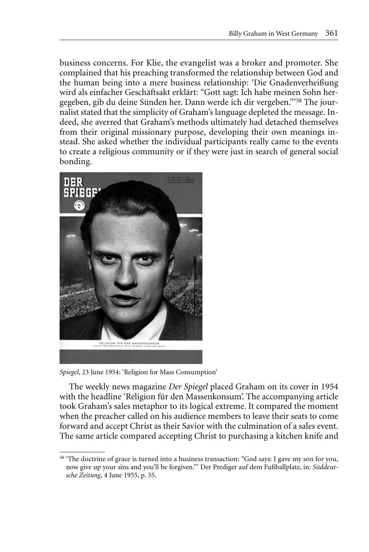business concerns. For Klie, the evangelist was a broker and promoter. She complained that his preaching transformed the relationship between God and the human being into a mere business relationship: 'Die Gnadenverheißung wird als einfacher Geschäftsakt erklärt: "Gott sagt: Ich habe meinen Sohn hergegeben, gib du deine Sünden her. Dann werde ich dir vergeben."'58 The journalist stated that the simplicity of Graham's language depleted the message. Indeed, she averred that Graham's methods ultimately had detached themselves from their original missionary purpose, developing their own meanings instead. She asked whether the individual participants really came to the events to create a religious community or if they were just in search of general social bonding.



*Spiegel*, 23 June 1954: 'Religion for Mass Consumption'

The weekly news magazine *Der Spiegel* placed Graham on its cover in 1954 with the headline 'Religion für den Massenkonsum'. The accompanying article took Graham's sales metaphor to its logical extreme. It compared the moment when the preacher called on his audience members to leave their seats to come forward and accept Christ as their Savior with the culmination of a sales event. The same article compared accepting Christ to purchasing a kitchen knife and

<sup>58</sup> 'The doctrine of grace is turned into a business transaction: "God says: I gave my son for you, now give up your sins and you'll be forgiven."' Der Prediger auf dem Fußballplatz, in: *Süddeutsche Zeitung*, 4 June 1955, p. 35.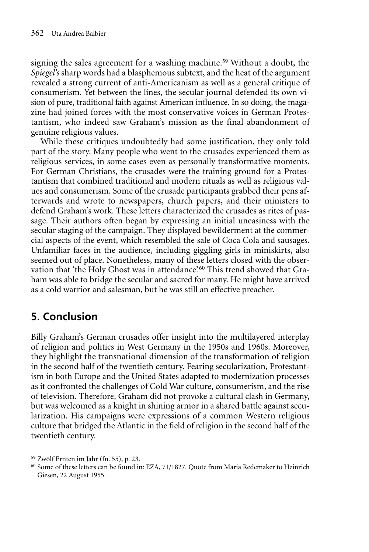signing the sales agreement for a washing machine.<sup>59</sup> Without a doubt, the *Spiegel's* sharp words had a blasphemous subtext, and the heat of the argument revealed a strong current of anti-Americanism as well as a general critique of consumerism. Yet between the lines, the secular journal defended its own vision of pure, traditional faith against American influence. In so doing, the magazine had joined forces with the most conservative voices in German Protestantism, who indeed saw Graham's mission as the final abandonment of genuine religious values.

While these critiques undoubtedly had some justification, they only told part of the story. Many people who went to the crusades experienced them as religious services, in some cases even as personally transformative moments. For German Christians, the crusades were the training ground for a Protestantism that combined traditional and modern rituals as well as religious values and consumerism. Some of the crusade participants grabbed their pens afterwards and wrote to newspapers, church papers, and their ministers to defend Graham's work. These letters characterized the crusades as rites of passage. Their authors often began by expressing an initial uneasiness with the secular staging of the campaign. They displayed bewilderment at the commercial aspects of the event, which resembled the sale of Coca Cola and sausages. Unfamiliar faces in the audience, including giggling girls in miniskirts, also seemed out of place. Nonetheless, many of these letters closed with the observation that 'the Holy Ghost was in attendance'.<sup>60</sup> This trend showed that Graham was able to bridge the secular and sacred for many. He might have arrived as a cold warrior and salesman, but he was still an effective preacher.

#### **5. Conclusion**

Billy Graham's German crusades offer insight into the multilayered interplay of religion and politics in West Germany in the 1950s and 1960s. Moreover, they highlight the transnational dimension of the transformation of religion in the second half of the twentieth century. Fearing secularization, Protestantism in both Europe and the United States adapted to modernization processes as it confronted the challenges of Cold War culture, consumerism, and the rise of television. Therefore, Graham did not provoke a cultural clash in Germany, but was welcomed as a knight in shining armor in a shared battle against secularization. His campaigns were expressions of a common Western religious culture that bridged the Atlantic in the field of religion in the second half of the twentieth century.

<sup>59</sup> Zwölf Ernten im Jahr (fn. 55), p. 23.

<sup>60</sup> Some of these letters can be found in: EZA, 71/1827. Quote from Maria Redemaker to Heinrich Giesen, 22 August 1955.